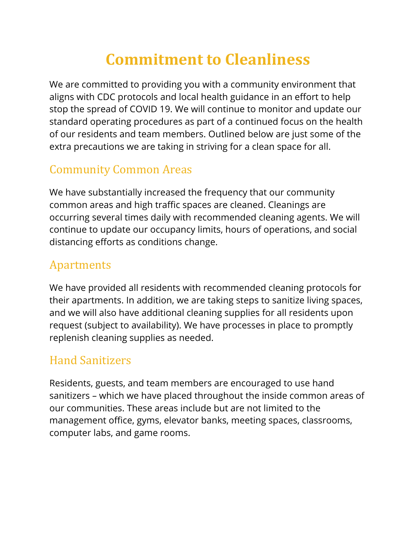# **Commitment to Cleanliness**

We are committed to providing you with a community environment that aligns with CDC protocols and local health guidance in an effort to help stop the spread of COVID 19. We will continue to monitor and update our standard operating procedures as part of a continued focus on the health of our residents and team members. Outlined below are just some of the extra precautions we are taking in striving for a clean space for all.

## **Community Common Areas**

We have substantially increased the frequency that our community common areas and high traffic spaces are cleaned. Cleanings are occurring several times daily with recommended cleaning agents. We will continue to update our occupancy limits, hours of operations, and social distancing efforts as conditions change.

#### Apartments

We have provided all residents with recommended cleaning protocols for their apartments. In addition, we are taking steps to sanitize living spaces, and we will also have additional cleaning supplies for all residents upon request (subject to availability). We have processes in place to promptly replenish cleaning supplies as needed.

## Hand Sanitizers

Residents, guests, and team members are encouraged to use hand sanitizers – which we have placed throughout the inside common areas of our communities. These areas include but are not limited to the management office, gyms, elevator banks, meeting spaces, classrooms, computer labs, and game rooms.